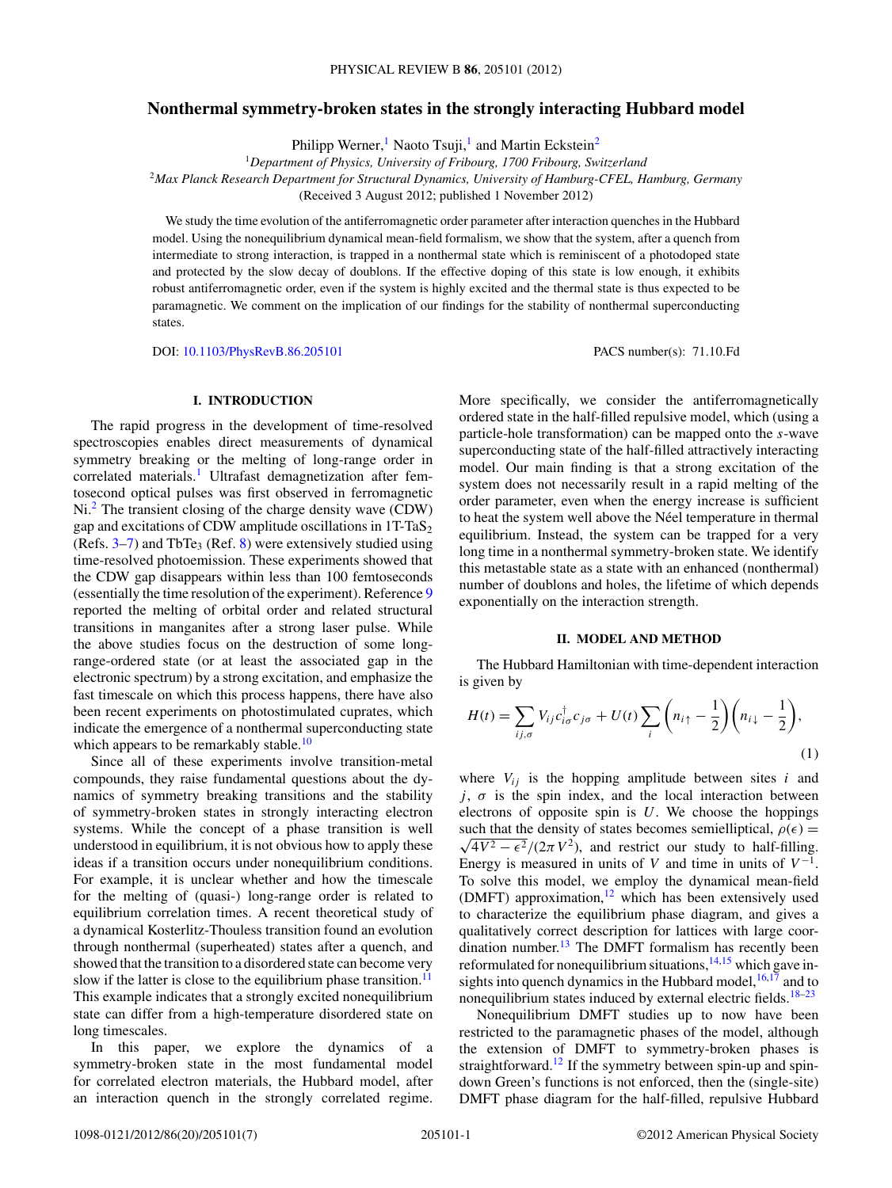# **Nonthermal symmetry-broken states in the strongly interacting Hubbard model**

Philipp Werner,<sup>1</sup> Naoto Tsuji,<sup>1</sup> and Martin Eckstein<sup>2</sup>

<sup>1</sup>*Department of Physics, University of Fribourg, 1700 Fribourg, Switzerland* <sup>2</sup>*Max Planck Research Department for Structural Dynamics, University of Hamburg-CFEL, Hamburg, Germany* (Received 3 August 2012; published 1 November 2012)

We study the time evolution of the antiferromagnetic order parameter after interaction quenches in the Hubbard model. Using the nonequilibrium dynamical mean-field formalism, we show that the system, after a quench from intermediate to strong interaction, is trapped in a nonthermal state which is reminiscent of a photodoped state and protected by the slow decay of doublons. If the effective doping of this state is low enough, it exhibits robust antiferromagnetic order, even if the system is highly excited and the thermal state is thus expected to be paramagnetic. We comment on the implication of our findings for the stability of nonthermal superconducting states.

DOI: [10.1103/PhysRevB.86.205101](http://dx.doi.org/10.1103/PhysRevB.86.205101) PACS number(s): 71*.*10*.*Fd

# **I. INTRODUCTION**

The rapid progress in the development of time-resolved spectroscopies enables direct measurements of dynamical symmetry breaking or the melting of long-range order in correlated materials.<sup>[1](#page-5-0)</sup> Ultrafast demagnetization after femtosecond optical pulses was first observed in ferromagnetic Ni.<sup>[2](#page-5-0)</sup> The transient closing of the charge density wave (CDW) gap and excitations of CDW amplitude oscillations in  $1T-TaS<sub>2</sub>$ (Refs.  $3-7$  $3-7$ ) and TbTe<sub>3</sub> (Ref. [8\)](#page-6-0) were extensively studied using time-resolved photoemission. These experiments showed that the CDW gap disappears within less than 100 femtoseconds (essentially the time resolution of the experiment). Reference [9](#page-6-0) reported the melting of orbital order and related structural transitions in manganites after a strong laser pulse. While the above studies focus on the destruction of some longrange-ordered state (or at least the associated gap in the electronic spectrum) by a strong excitation, and emphasize the fast timescale on which this process happens, there have also been recent experiments on photostimulated cuprates, which indicate the emergence of a nonthermal superconducting state which appears to be remarkably stable.<sup>10</sup>

Since all of these experiments involve transition-metal compounds, they raise fundamental questions about the dynamics of symmetry breaking transitions and the stability of symmetry-broken states in strongly interacting electron systems. While the concept of a phase transition is well understood in equilibrium, it is not obvious how to apply these ideas if a transition occurs under nonequilibrium conditions. For example, it is unclear whether and how the timescale for the melting of (quasi-) long-range order is related to equilibrium correlation times. A recent theoretical study of a dynamical Kosterlitz-Thouless transition found an evolution through nonthermal (superheated) states after a quench, and showed that the transition to a disordered state can become very slow if the latter is close to the equilibrium phase transition.<sup>11</sup> This example indicates that a strongly excited nonequilibrium state can differ from a high-temperature disordered state on long timescales.

In this paper, we explore the dynamics of a symmetry-broken state in the most fundamental model for correlated electron materials, the Hubbard model, after an interaction quench in the strongly correlated regime. More specifically, we consider the antiferromagnetically ordered state in the half-filled repulsive model, which (using a particle-hole transformation) can be mapped onto the *s*-wave superconducting state of the half-filled attractively interacting model. Our main finding is that a strong excitation of the system does not necessarily result in a rapid melting of the order parameter, even when the energy increase is sufficient to heat the system well above the Néel temperature in thermal equilibrium. Instead, the system can be trapped for a very long time in a nonthermal symmetry-broken state. We identify this metastable state as a state with an enhanced (nonthermal) number of doublons and holes, the lifetime of which depends exponentially on the interaction strength.

#### **II. MODEL AND METHOD**

The Hubbard Hamiltonian with time-dependent interaction is given by

$$
H(t) = \sum_{ij,\sigma} V_{ij} c_{i\sigma}^{\dagger} c_{j\sigma} + U(t) \sum_{i} \left( n_{i\uparrow} - \frac{1}{2} \right) \left( n_{i\downarrow} - \frac{1}{2} \right),\tag{1}
$$

where  $V_{ij}$  is the hopping amplitude between sites  $i$  and  $j$ ,  $\sigma$  is the spin index, and the local interaction between electrons of opposite spin is *U*. We choose the hoppings such that the density of states becomes semielliptical,  $\rho(\epsilon) =$  $\sqrt{4V^2-\epsilon^2}/(2\pi V^2)$ , and restrict our study to half-filling. Energy is measured in units of *V* and time in units of  $V^{-1}$ . To solve this model, we employ the dynamical mean-field (DMFT) approximation, $12$  which has been extensively used to characterize the equilibrium phase diagram, and gives a qualitatively correct description for lattices with large coordination number.<sup>13</sup> The DMFT formalism has recently been reformulated for nonequilibrium situations, $14,15$  which gave insights into quench dynamics in the Hubbard model,  $16,17$  and to nonequilibrium states induced by external electric fields.<sup>[18–23](#page-6-0)</sup>

Nonequilibrium DMFT studies up to now have been restricted to the paramagnetic phases of the model, although the extension of DMFT to symmetry-broken phases is straightforward.<sup>[12](#page-6-0)</sup> If the symmetry between spin-up and spindown Green's functions is not enforced, then the (single-site) DMFT phase diagram for the half-filled, repulsive Hubbard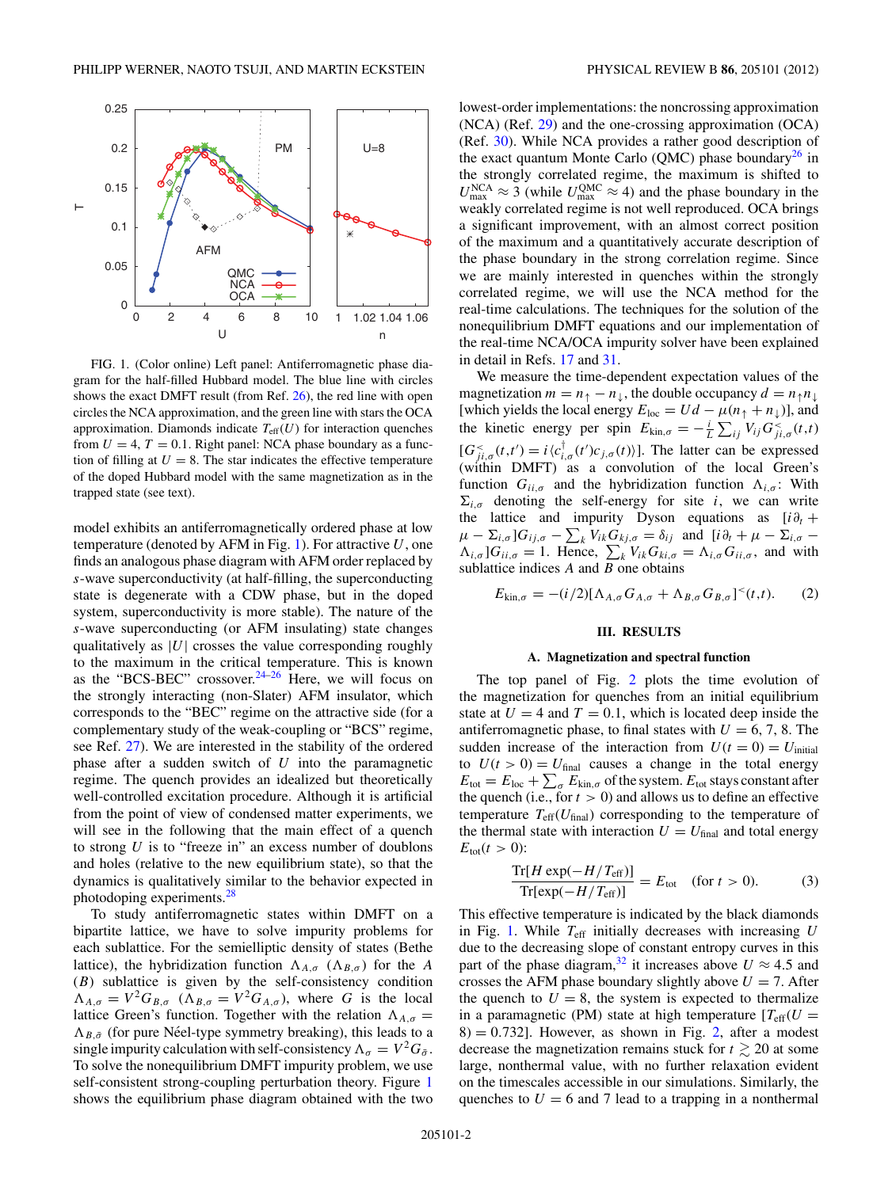<span id="page-1-0"></span>

FIG. 1. (Color online) Left panel: Antiferromagnetic phase diagram for the half-filled Hubbard model. The blue line with circles shows the exact DMFT result (from Ref. [26\)](#page-6-0), the red line with open circles the NCA approximation, and the green line with stars the OCA approximation. Diamonds indicate  $T_{\text{eff}}(U)$  for interaction quenches from  $U = 4$ ,  $T = 0.1$ . Right panel: NCA phase boundary as a function of filling at  $U = 8$ . The star indicates the effective temperature of the doped Hubbard model with the same magnetization as in the trapped state (see text).

model exhibits an antiferromagnetically ordered phase at low temperature (denoted by AFM in Fig. 1). For attractive *U*, one finds an analogous phase diagram with AFM order replaced by *s*-wave superconductivity (at half-filling, the superconducting state is degenerate with a CDW phase, but in the doped system, superconductivity is more stable). The nature of the *s*-wave superconducting (or AFM insulating) state changes qualitatively as  $|U|$  crosses the value corresponding roughly to the maximum in the critical temperature. This is known as the "BCS-BEC" crossover. $24-26$  Here, we will focus on the strongly interacting (non-Slater) AFM insulator, which corresponds to the "BEC" regime on the attractive side (for a complementary study of the weak-coupling or "BCS" regime, see Ref. [27\)](#page-6-0). We are interested in the stability of the ordered phase after a sudden switch of *U* into the paramagnetic regime. The quench provides an idealized but theoretically well-controlled excitation procedure. Although it is artificial from the point of view of condensed matter experiments, we will see in the following that the main effect of a quench to strong *U* is to "freeze in" an excess number of doublons and holes (relative to the new equilibrium state), so that the dynamics is qualitatively similar to the behavior expected in photodoping experiments.[28](#page-6-0)

To study antiferromagnetic states within DMFT on a bipartite lattice, we have to solve impurity problems for each sublattice. For the semielliptic density of states (Bethe lattice), the hybridization function  $\Lambda_{A,\sigma}$  ( $\Lambda_{B,\sigma}$ ) for the *A* (*B*) sublattice is given by the self-consistency condition  $\Lambda_{A,\sigma} = V^2 G_{B,\sigma}$  ( $\Lambda_{B,\sigma} = V^2 G_{A,\sigma}$ ), where *G* is the local lattice Green's function. Together with the relation  $\Lambda_{A,\sigma}$  =  $\Lambda_{B,\bar{\sigma}}$  (for pure Néel-type symmetry breaking), this leads to a single impurity calculation with self-consistency  $\Lambda_{\sigma} = V^2 G_{\bar{\sigma}}$ . To solve the nonequilibrium DMFT impurity problem, we use self-consistent strong-coupling perturbation theory. Figure 1 shows the equilibrium phase diagram obtained with the two lowest-order implementations: the noncrossing approximation (NCA) (Ref. [29\)](#page-6-0) and the one-crossing approximation (OCA) (Ref. [30\)](#page-6-0). While NCA provides a rather good description of the exact quantum Monte Carlo (QMC) phase boundary<sup>26</sup> in the strongly correlated regime, the maximum is shifted to  $U_{\text{max}}^{\text{NCA}} \approx 3$  (while  $U_{\text{max}}^{\text{QMC}} \approx 4$ ) and the phase boundary in the weakly correlated regime is not well reproduced. OCA brings a significant improvement, with an almost correct position of the maximum and a quantitatively accurate description of the phase boundary in the strong correlation regime. Since we are mainly interested in quenches within the strongly correlated regime, we will use the NCA method for the real-time calculations. The techniques for the solution of the nonequilibrium DMFT equations and our implementation of the real-time NCA/OCA impurity solver have been explained in detail in Refs. [17](#page-6-0) and [31.](#page-6-0)

We measure the time-dependent expectation values of the magnetization  $m = n_1 - n_1$ , the double occupancy  $d = n_1 n_1$ [which yields the local energy  $E_{\text{loc}} = Ud - \mu(n_{\uparrow} + n_{\downarrow})$ ], and the kinetic energy per spin  $E_{\text{kin},\sigma} = -\frac{i}{L} \sum_{ij} V_{ij} G_{ji,\sigma}^{\lt}(t,t)$  $[G_{ji,\sigma}^{<}(t,t') = i \langle c_{i,\sigma}^{\dagger}(t')c_{j,\sigma}(t) \rangle]$ . The latter can be expressed (within DMFT) as a convolution of the local Green's function  $G_{ii,\sigma}$  and the hybridization function  $\Lambda_{i,\sigma}$ : With  $\Sigma_{i,\sigma}$  denoting the self-energy for site *i*, we can write the lattice and impurity Dyson equations as  $[i\partial_t +$  $\mu - \sum_{i,\sigma} G_{ij,\sigma} - \sum_{k} V_{ik} G_{kj,\sigma} = \delta_{ij}$  and  $[i\partial_t + \mu - \sum_{i,\sigma} \Lambda_{i,\sigma}$  ] $G_{ii,\sigma} = 1$ . Hence,  $\sum_{k} V_{ik} G_{ki,\sigma} = \Lambda_{i,\sigma} G_{ii,\sigma}$ , and with sublattice indices *A* and *B* one obtains

$$
E_{\mathrm{kin},\sigma} = -(i/2)[\Lambda_{A,\sigma} G_{A,\sigma} + \Lambda_{B,\sigma} G_{B,\sigma}]^{<}(t,t). \qquad (2)
$$

## **III. RESULTS**

#### **A. Magnetization and spectral function**

The top panel of Fig. [2](#page-2-0) plots the time evolution of the magnetization for quenches from an initial equilibrium state at  $U = 4$  and  $T = 0.1$ , which is located deep inside the antiferromagnetic phase, to final states with  $U = 6, 7, 8$ . The sudden increase of the interaction from  $U(t=0) = U_{initial}$ to  $U(t > 0) = U_{\text{final}}$  causes a change in the total energy  $E_{\text{tot}} = E_{\text{loc}} + \sum_{\sigma} E_{\text{kin},\sigma}$  of the system.  $E_{\text{tot}}$  stays constant after the quench (i.e., for  $t > 0$ ) and allows us to define an effective temperature  $T_{\text{eff}}(U_{\text{final}})$  corresponding to the temperature of the thermal state with interaction  $U = U_{final}$  and total energy  $E_{\text{tot}}(t > 0)$ :

$$
\frac{\text{Tr}[H \exp(-H/T_{\text{eff}})]}{\text{Tr}[\exp(-H/T_{\text{eff}})]} = E_{\text{tot}} \quad (\text{for } t > 0). \tag{3}
$$

This effective temperature is indicated by the black diamonds in Fig. 1. While *T*eff initially decreases with increasing *U* due to the decreasing slope of constant entropy curves in this part of the phase diagram,<sup>[32](#page-6-0)</sup> it increases above  $U \approx 4.5$  and crosses the AFM phase boundary slightly above  $U = 7$ . After the quench to  $U = 8$ , the system is expected to thermalize in a paramagnetic (PM) state at high temperature  $[T_{\text{eff}}(U =$  $8$ ) = 0.732]. However, as shown in Fig. [2,](#page-2-0) after a modest decrease the magnetization remains stuck for  $t \gtrsim 20$  at some large, nonthermal value, with no further relaxation evident on the timescales accessible in our simulations. Similarly, the quenches to  $U = 6$  and 7 lead to a trapping in a nonthermal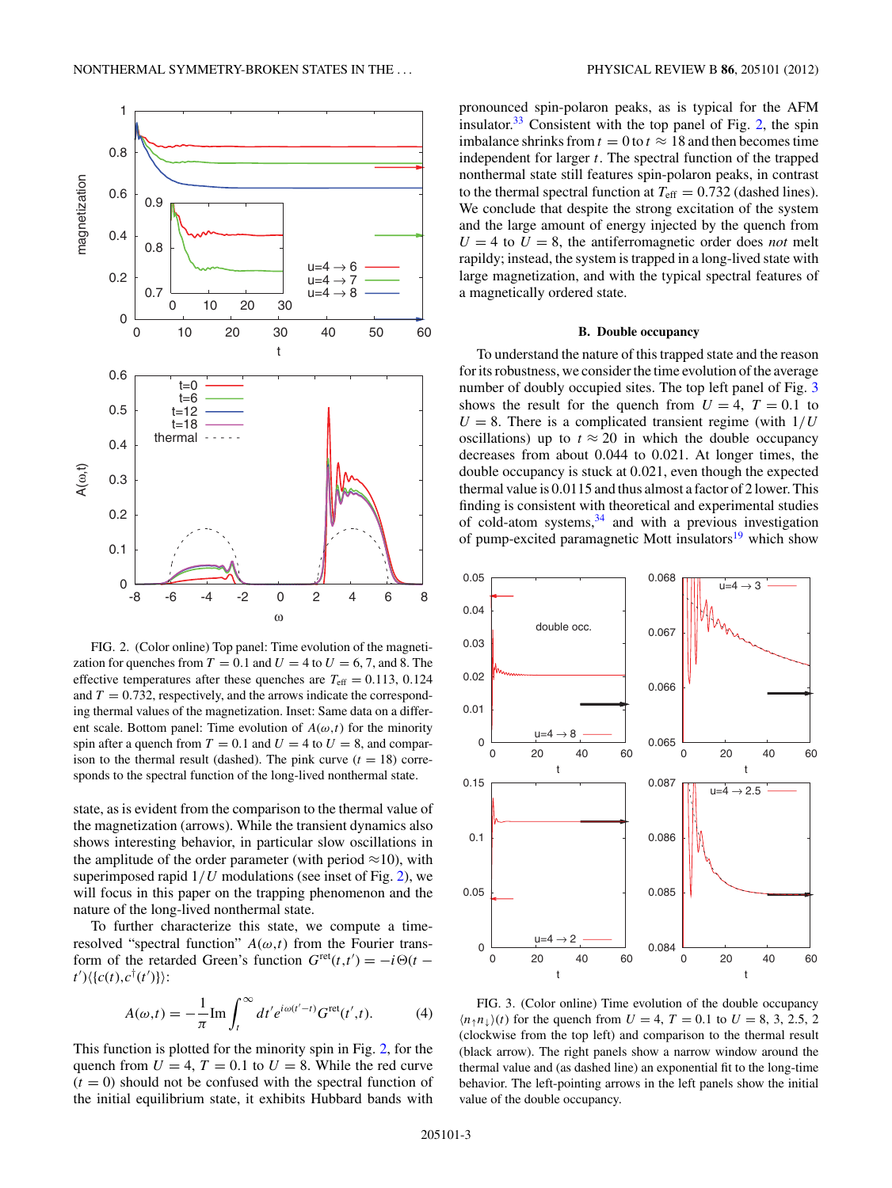<span id="page-2-0"></span>

FIG. 2. (Color online) Top panel: Time evolution of the magnetization for quenches from  $T = 0.1$  and  $U = 4$  to  $U = 6, 7$ , and 8. The effective temperatures after these quenches are  $T_{\text{eff}} = 0.113, 0.124$ and  $T = 0.732$ , respectively, and the arrows indicate the corresponding thermal values of the magnetization. Inset: Same data on a different scale. Bottom panel: Time evolution of  $A(\omega, t)$  for the minority spin after a quench from  $T = 0.1$  and  $U = 4$  to  $U = 8$ , and comparison to the thermal result (dashed). The pink curve  $(t = 18)$  corresponds to the spectral function of the long-lived nonthermal state.

state, as is evident from the comparison to the thermal value of the magnetization (arrows). While the transient dynamics also shows interesting behavior, in particular slow oscillations in the amplitude of the order parameter (with period  $\approx$ 10), with superimposed rapid 1*/U* modulations (see inset of Fig. 2), we will focus in this paper on the trapping phenomenon and the nature of the long-lived nonthermal state.

To further characterize this state, we compute a timeresolved "spectral function"  $A(\omega, t)$  from the Fourier transform of the retarded Green's function  $G^{\text{ret}}(t,t') = -i\Theta(t - t')$  $t'$ ) $\langle \{c(t), c^{\dagger}(t')\} \rangle$ :

$$
A(\omega, t) = -\frac{1}{\pi} \text{Im} \int_{t}^{\infty} dt' e^{i\omega(t'-t)} G^{\text{ret}}(t', t). \tag{4}
$$

This function is plotted for the minority spin in Fig. 2, for the quench from  $U = 4$ ,  $T = 0.1$  to  $U = 8$ . While the red curve  $(t = 0)$  should not be confused with the spectral function of the initial equilibrium state, it exhibits Hubbard bands with pronounced spin-polaron peaks, as is typical for the AFM insulator. $33$  Consistent with the top panel of Fig. 2, the spin imbalance shrinks from  $t = 0$  to  $t \approx 18$  and then becomes time independent for larger *t*. The spectral function of the trapped nonthermal state still features spin-polaron peaks, in contrast to the thermal spectral function at  $T_{\text{eff}} = 0.732$  (dashed lines). We conclude that despite the strong excitation of the system and the large amount of energy injected by the quench from  $U = 4$  to  $U = 8$ , the antiferromagnetic order does *not* melt rapildy; instead, the system is trapped in a long-lived state with large magnetization, and with the typical spectral features of a magnetically ordered state.

### **B. Double occupancy**

To understand the nature of this trapped state and the reason for its robustness, we consider the time evolution of the average number of doubly occupied sites. The top left panel of Fig. 3 shows the result for the quench from  $U = 4$ ,  $T = 0.1$  to  $U = 8$ . There is a complicated transient regime (with  $1/U$ oscillations) up to  $t \approx 20$  in which the double occupancy decreases from about 0*.*044 to 0*.*021. At longer times, the double occupancy is stuck at 0*.*021, even though the expected thermal value is 0*.*0115 and thus almost a factor of 2 lower. This finding is consistent with theoretical and experimental studies of cold-atom systems,[34](#page-6-0) and with a previous investigation of pump-excited paramagnetic Mott insulators $19$  which show



FIG. 3. (Color online) Time evolution of the double occupancy  $(n_1 n_1)(t)$  for the quench from  $U = 4$ ,  $T = 0.1$  to  $U = 8, 3, 2.5, 2$ (clockwise from the top left) and comparison to the thermal result (black arrow). The right panels show a narrow window around the thermal value and (as dashed line) an exponential fit to the long-time behavior. The left-pointing arrows in the left panels show the initial value of the double occupancy.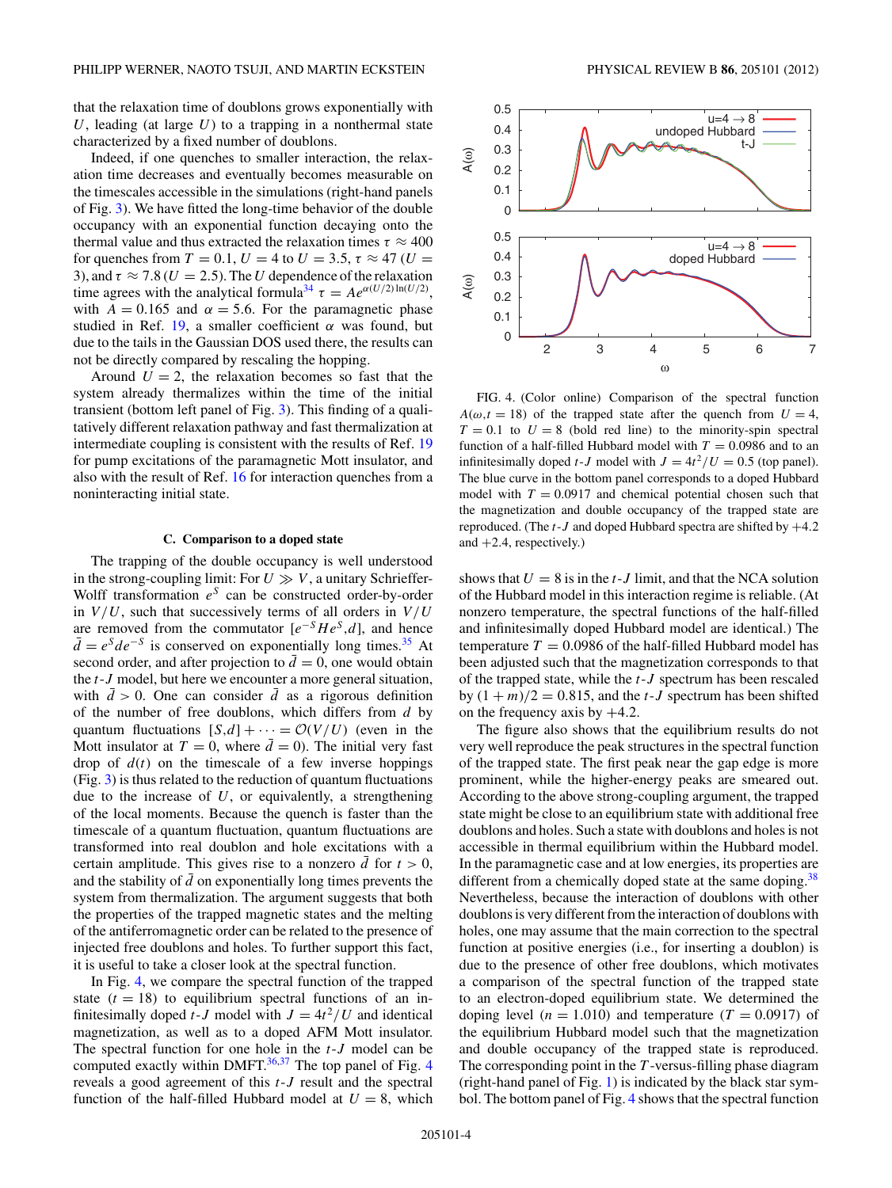that the relaxation time of doublons grows exponentially with *U*, leading (at large *U*) to a trapping in a nonthermal state characterized by a fixed number of doublons.

Indeed, if one quenches to smaller interaction, the relaxation time decreases and eventually becomes measurable on the timescales accessible in the simulations (right-hand panels of Fig. [3\)](#page-2-0). We have fitted the long-time behavior of the double occupancy with an exponential function decaying onto the thermal value and thus extracted the relaxation times  $\tau \approx 400$ for quenches from  $T = 0.1$ ,  $U = 4$  to  $U = 3.5$ ,  $\tau \approx 47$  ( $U =$ 3), and  $\tau \approx 7.8$  ( $U = 2.5$ ). The *U* dependence of the relaxation time agrees with the analytical formula<sup>34</sup>  $\tau = Ae^{\alpha(U/2)\ln(U/2)}$ , with  $A = 0.165$  and  $\alpha = 5.6$ . For the paramagnetic phase studied in Ref. [19,](#page-6-0) a smaller coefficient *α* was found, but due to the tails in the Gaussian DOS used there, the results can not be directly compared by rescaling the hopping.

Around  $U = 2$ , the relaxation becomes so fast that the system already thermalizes within the time of the initial transient (bottom left panel of Fig. [3\)](#page-2-0). This finding of a qualitatively different relaxation pathway and fast thermalization at intermediate coupling is consistent with the results of Ref. [19](#page-6-0) for pump excitations of the paramagnetic Mott insulator, and also with the result of Ref. [16](#page-6-0) for interaction quenches from a noninteracting initial state.

#### **C. Comparison to a doped state**

The trapping of the double occupancy is well understood in the strong-coupling limit: For  $U \gg V$ , a unitary Schrieffer-Wolff transformation *e<sup>S</sup>* can be constructed order-by-order in  $V/U$ , such that successively terms of all orders in  $V/U$ are removed from the commutator  $[e^{-S}He^{S}, d]$ , and hence  $\overline{d} = e^{S}de^{-S}$  is conserved on exponentially long times.<sup>35</sup> At second order, and after projection to  $\bar{d} = 0$ , one would obtain the *t*-*J* model, but here we encounter a more general situation, with  $d > 0$ . One can consider *d* as a rigorous definition of the number of free doublons, which differs from *d* by quantum fluctuations  $[S,d] + \cdots = \mathcal{O}(V/U)$  (even in the Mott insulator at  $T = 0$ , where  $\bar{d} = 0$ ). The initial very fast drop of  $d(t)$  on the timescale of a few inverse hoppings (Fig. [3\)](#page-2-0) is thus related to the reduction of quantum fluctuations due to the increase of *U*, or equivalently, a strengthening of the local moments. Because the quench is faster than the timescale of a quantum fluctuation, quantum fluctuations are transformed into real doublon and hole excitations with a certain amplitude. This gives rise to a nonzero  $\bar{d}$  for  $t > 0$ , and the stability of  $\bar{d}$  on exponentially long times prevents the system from thermalization. The argument suggests that both the properties of the trapped magnetic states and the melting of the antiferromagnetic order can be related to the presence of injected free doublons and holes. To further support this fact, it is useful to take a closer look at the spectral function.

In Fig. 4, we compare the spectral function of the trapped state  $(t = 18)$  to equilibrium spectral functions of an infinitesimally doped *t*-*J* model with  $J = 4t^2/U$  and identical magnetization, as well as to a doped AFM Mott insulator. The spectral function for one hole in the *t*-*J* model can be computed exactly within DMFT. $36,37$  The top panel of Fig. 4 reveals a good agreement of this *t*-*J* result and the spectral function of the half-filled Hubbard model at  $U = 8$ , which



FIG. 4. (Color online) Comparison of the spectral function  $A(\omega, t = 18)$  of the trapped state after the quench from  $U = 4$ ,  $T = 0.1$  to  $U = 8$  (bold red line) to the minority-spin spectral function of a half-filled Hubbard model with  $T = 0.0986$  and to an infinitesimally doped *t*-*J* model with  $J = 4t^2/U = 0.5$  (top panel). The blue curve in the bottom panel corresponds to a doped Hubbard model with  $T = 0.0917$  and chemical potential chosen such that the magnetization and double occupancy of the trapped state are reproduced. (The *t*-*J* and doped Hubbard spectra are shifted by +4*.*2 and +2*.*4, respectively.)

shows that  $U = 8$  is in the *t*-*J* limit, and that the NCA solution of the Hubbard model in this interaction regime is reliable. (At nonzero temperature, the spectral functions of the half-filled and infinitesimally doped Hubbard model are identical.) The temperature  $T = 0.0986$  of the half-filled Hubbard model has been adjusted such that the magnetization corresponds to that of the trapped state, while the *t*-*J* spectrum has been rescaled by  $(1 + m)/2 = 0.815$ , and the *t*-*J* spectrum has been shifted on the frequency axis by +4*.*2.

The figure also shows that the equilibrium results do not very well reproduce the peak structures in the spectral function of the trapped state. The first peak near the gap edge is more prominent, while the higher-energy peaks are smeared out. According to the above strong-coupling argument, the trapped state might be close to an equilibrium state with additional free doublons and holes. Such a state with doublons and holes is not accessible in thermal equilibrium within the Hubbard model. In the paramagnetic case and at low energies, its properties are different from a chemically doped state at the same doping.<sup>[38](#page-6-0)</sup> Nevertheless, because the interaction of doublons with other doublons is very different from the interaction of doublons with holes, one may assume that the main correction to the spectral function at positive energies (i.e., for inserting a doublon) is due to the presence of other free doublons, which motivates a comparison of the spectral function of the trapped state to an electron-doped equilibrium state. We determined the doping level ( $n = 1.010$ ) and temperature ( $T = 0.0917$ ) of the equilibrium Hubbard model such that the magnetization and double occupancy of the trapped state is reproduced. The corresponding point in the *T* -versus-filling phase diagram (right-hand panel of Fig. [1\)](#page-1-0) is indicated by the black star symbol. The bottom panel of Fig. 4 shows that the spectral function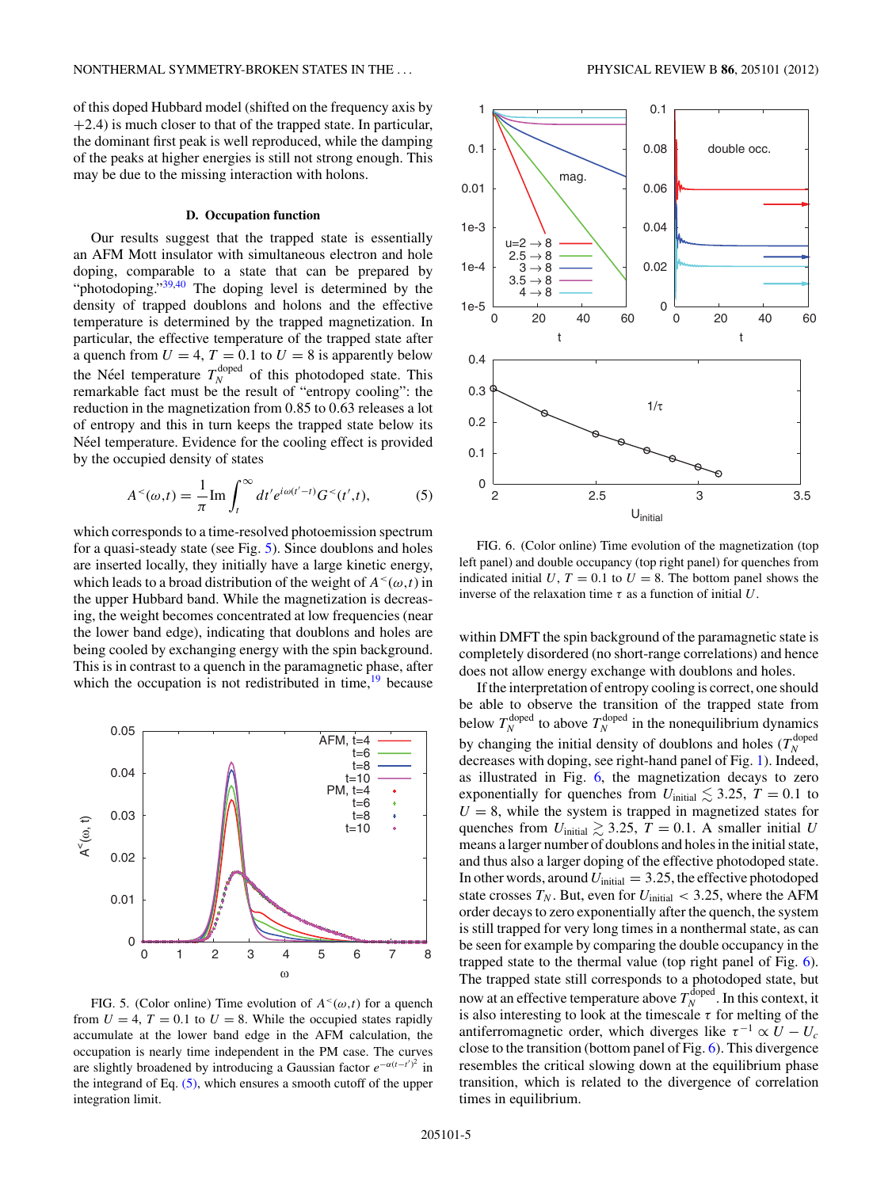of this doped Hubbard model (shifted on the frequency axis by +2*.*4) is much closer to that of the trapped state. In particular, the dominant first peak is well reproduced, while the damping of the peaks at higher energies is still not strong enough. This may be due to the missing interaction with holons.

#### **D. Occupation function**

Our results suggest that the trapped state is essentially an AFM Mott insulator with simultaneous electron and hole doping, comparable to a state that can be prepared by "photodoping.["39,40](#page-6-0) The doping level is determined by the density of trapped doublons and holons and the effective temperature is determined by the trapped magnetization. In particular, the effective temperature of the trapped state after a quench from  $U = 4$ ,  $T = 0.1$  to  $U = 8$  is apparently below the Néel temperature  $T_N^{\text{doped}}$  of this photodoped state. This remarkable fact must be the result of "entropy cooling": the reduction in the magnetization from 0*.*85 to 0*.*63 releases a lot of entropy and this in turn keeps the trapped state below its Néel temperature. Evidence for the cooling effect is provided by the occupied density of states

$$
A^{<}(\omega,t) = \frac{1}{\pi} \text{Im} \int_{t}^{\infty} dt' e^{i\omega(t'-t)} G^{<}(t',t), \tag{5}
$$

which corresponds to a time-resolved photoemission spectrum for a quasi-steady state (see Fig. 5). Since doublons and holes are inserted locally, they initially have a large kinetic energy, which leads to a broad distribution of the weight of  $A<sup><</sup>(\omega,t)$  in the upper Hubbard band. While the magnetization is decreasing, the weight becomes concentrated at low frequencies (near the lower band edge), indicating that doublons and holes are being cooled by exchanging energy with the spin background. This is in contrast to a quench in the paramagnetic phase, after which the occupation is not redistributed in time,  $19$  because



FIG. 5. (Color online) Time evolution of  $A<sup>{\sim}(\omega,t)</sup>$  for a quench from  $U = 4$ ,  $T = 0.1$  to  $U = 8$ . While the occupied states rapidly accumulate at the lower band edge in the AFM calculation, the occupation is nearly time independent in the PM case. The curves are slightly broadened by introducing a Gaussian factor  $e^{-\alpha(t-t')^2}$  in the integrand of Eq. (5), which ensures a smooth cutoff of the upper integration limit.



FIG. 6. (Color online) Time evolution of the magnetization (top left panel) and double occupancy (top right panel) for quenches from indicated initial  $U, T = 0.1$  to  $U = 8$ . The bottom panel shows the inverse of the relaxation time *τ* as a function of initial *U*.

within DMFT the spin background of the paramagnetic state is completely disordered (no short-range correlations) and hence does not allow energy exchange with doublons and holes.

If the interpretation of entropy cooling is correct, one should be able to observe the transition of the trapped state from below  $T_N^{\text{doped}}$  to above  $T_N^{\text{doped}}$  in the nonequilibrium dynamics by changing the initial density of doublons and holes  $(T_N^{\text{doped}})$ decreases with doping, see right-hand panel of Fig. [1\)](#page-1-0). Indeed, as illustrated in Fig. 6, the magnetization decays to zero exponentially for quenches from  $U_{initial} \lesssim 3.25$ ,  $T = 0.1$  to  $U = 8$ , while the system is trapped in magnetized states for quenches from  $U_{initial} \gtrsim 3.25$ ,  $T = 0.1$ . A smaller initial *U* means a larger number of doublons and holes in the initial state, and thus also a larger doping of the effective photodoped state. In other words, around  $U_{initial} = 3.25$ , the effective photodoped state crosses  $T_N$ . But, even for  $U_{initial} < 3.25$ , where the AFM order decays to zero exponentially after the quench, the system is still trapped for very long times in a nonthermal state, as can be seen for example by comparing the double occupancy in the trapped state to the thermal value (top right panel of Fig. 6). The trapped state still corresponds to a photodoped state, but now at an effective temperature above  $T_N^{\text{doped}}$ . In this context, it is also interesting to look at the timescale  $\tau$  for melting of the antiferromagnetic order, which diverges like  $\tau^{-1} \propto U - U_c$ close to the transition (bottom panel of Fig. 6). This divergence resembles the critical slowing down at the equilibrium phase transition, which is related to the divergence of correlation times in equilibrium.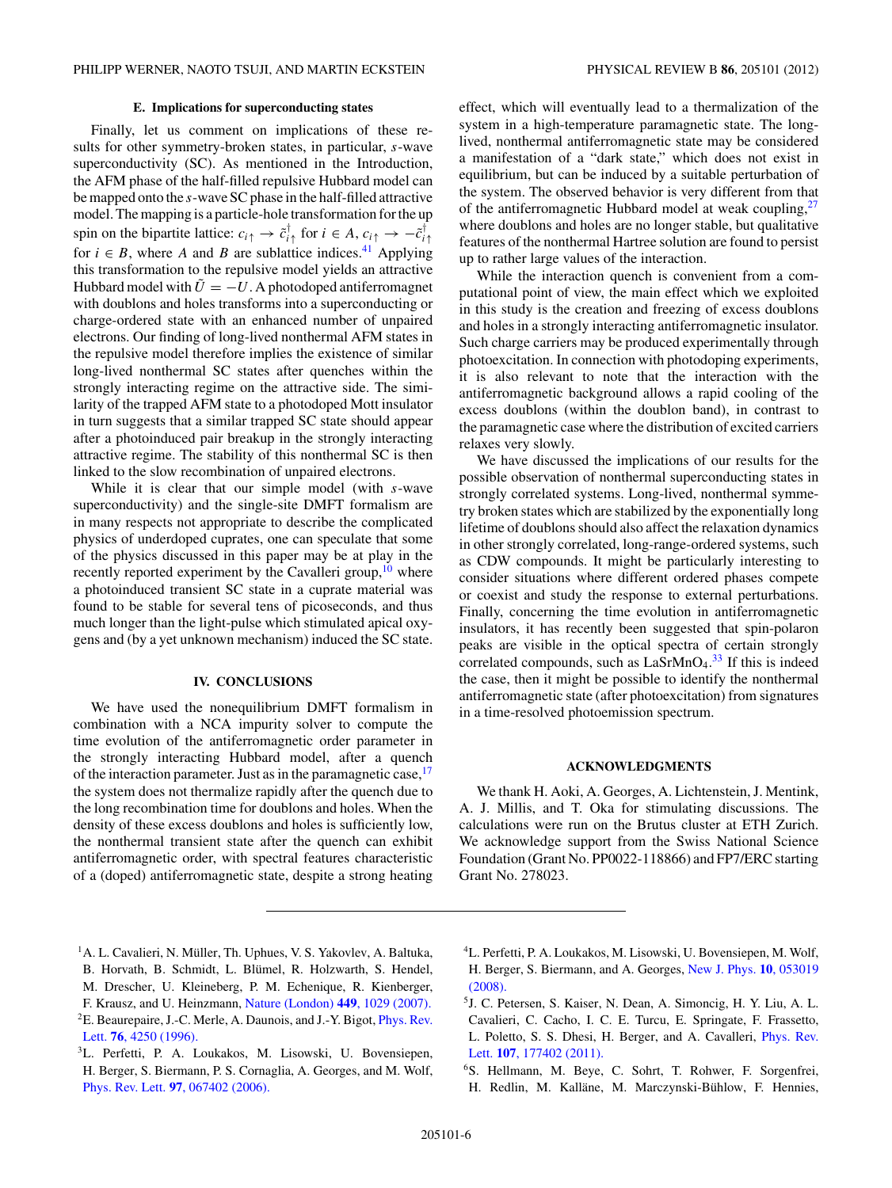# **E. Implications for superconducting states**

<span id="page-5-0"></span>Finally, let us comment on implications of these results for other symmetry-broken states, in particular, *s*-wave superconductivity (SC). As mentioned in the Introduction, the AFM phase of the half-filled repulsive Hubbard model can be mapped onto the *s*-wave SC phase in the half-filled attractive model. The mapping is a particle-hole transformation for the up spin on the bipartite lattice:  $c_{i\uparrow} \rightarrow \tilde{c}_{i\uparrow}^{\dagger}$  for  $i \in A$ ,  $c_{i\uparrow} \rightarrow -\tilde{c}_{i\uparrow}^{\dagger}$ for  $i \in B$ , where *A* and *B* are sublattice indices.<sup>41</sup> Applying this transformation to the repulsive model yields an attractive Hubbard model with  $\tilde{U} = -U$ . A photodoped antiferromagnet with doublons and holes transforms into a superconducting or charge-ordered state with an enhanced number of unpaired electrons. Our finding of long-lived nonthermal AFM states in the repulsive model therefore implies the existence of similar long-lived nonthermal SC states after quenches within the strongly interacting regime on the attractive side. The similarity of the trapped AFM state to a photodoped Mott insulator in turn suggests that a similar trapped SC state should appear after a photoinduced pair breakup in the strongly interacting attractive regime. The stability of this nonthermal SC is then linked to the slow recombination of unpaired electrons.

While it is clear that our simple model (with *s*-wave superconductivity) and the single-site DMFT formalism are in many respects not appropriate to describe the complicated physics of underdoped cuprates, one can speculate that some of the physics discussed in this paper may be at play in the recently reported experiment by the Cavalleri group, $10$  where a photoinduced transient SC state in a cuprate material was found to be stable for several tens of picoseconds, and thus much longer than the light-pulse which stimulated apical oxygens and (by a yet unknown mechanism) induced the SC state.

## **IV. CONCLUSIONS**

We have used the nonequilibrium DMFT formalism in combination with a NCA impurity solver to compute the time evolution of the antiferromagnetic order parameter in the strongly interacting Hubbard model, after a quench of the interaction parameter. Just as in the paramagnetic case,<sup>[17](#page-6-0)</sup> the system does not thermalize rapidly after the quench due to the long recombination time for doublons and holes. When the density of these excess doublons and holes is sufficiently low, the nonthermal transient state after the quench can exhibit antiferromagnetic order, with spectral features characteristic of a (doped) antiferromagnetic state, despite a strong heating effect, which will eventually lead to a thermalization of the system in a high-temperature paramagnetic state. The longlived, nonthermal antiferromagnetic state may be considered a manifestation of a "dark state," which does not exist in equilibrium, but can be induced by a suitable perturbation of the system. The observed behavior is very different from that of the antiferromagnetic Hubbard model at weak coupling, $27$ where doublons and holes are no longer stable, but qualitative features of the nonthermal Hartree solution are found to persist up to rather large values of the interaction.

While the interaction quench is convenient from a computational point of view, the main effect which we exploited in this study is the creation and freezing of excess doublons and holes in a strongly interacting antiferromagnetic insulator. Such charge carriers may be produced experimentally through photoexcitation. In connection with photodoping experiments, it is also relevant to note that the interaction with the antiferromagnetic background allows a rapid cooling of the excess doublons (within the doublon band), in contrast to the paramagnetic case where the distribution of excited carriers relaxes very slowly.

We have discussed the implications of our results for the possible observation of nonthermal superconducting states in strongly correlated systems. Long-lived, nonthermal symmetry broken states which are stabilized by the exponentially long lifetime of doublons should also affect the relaxation dynamics in other strongly correlated, long-range-ordered systems, such as CDW compounds. It might be particularly interesting to consider situations where different ordered phases compete or coexist and study the response to external perturbations. Finally, concerning the time evolution in antiferromagnetic insulators, it has recently been suggested that spin-polaron peaks are visible in the optical spectra of certain strongly correlated compounds, such as  $LaSrMnO<sub>4</sub>.<sup>33</sup>$  $LaSrMnO<sub>4</sub>.<sup>33</sup>$  $LaSrMnO<sub>4</sub>.<sup>33</sup>$  If this is indeed the case, then it might be possible to identify the nonthermal antiferromagnetic state (after photoexcitation) from signatures in a time-resolved photoemission spectrum.

### **ACKNOWLEDGMENTS**

We thank H. Aoki, A. Georges, A. Lichtenstein, J. Mentink, A. J. Millis, and T. Oka for stimulating discussions. The calculations were run on the Brutus cluster at ETH Zurich. We acknowledge support from the Swiss National Science Foundation (Grant No. PP0022-118866) and FP7/ERC starting Grant No. 278023.

- <sup>1</sup>A. L. Cavalieri, N. Müller, Th. Uphues, V. S. Yakovlev, A. Baltuka, B. Horvath, B. Schmidt, L. Blümel, R. Holzwarth, S. Hendel, M. Drescher, U. Kleineberg, P. M. Echenique, R. Kienberger, F. Krausz, and U. Heinzmann, [Nature \(London\)](http://dx.doi.org/10.1038/nature06229) **449**, 1029 (2007). <sup>2</sup>E. Beaurepaire, J.-C. Merle, A. Daunois, and J.-Y. Bigot, *[Phys. Rev.](http://dx.doi.org/10.1103/PhysRevLett.76.4250)* Lett. **76**[, 4250 \(1996\).](http://dx.doi.org/10.1103/PhysRevLett.76.4250)
- <sup>3</sup>L. Perfetti, P. A. Loukakos, M. Lisowski, U. Bovensiepen, H. Berger, S. Biermann, P. S. Cornaglia, A. Georges, and M. Wolf, Phys. Rev. Lett. **97**[, 067402 \(2006\).](http://dx.doi.org/10.1103/PhysRevLett.97.067402)
- 4L. Perfetti, P. A. Loukakos, M. Lisowski, U. Bovensiepen, M. Wolf, H. Berger, S. Biermann, and A. Georges, [New J. Phys.](http://dx.doi.org/10.1088/1367-2630/10/5/053019) **10**, 053019 [\(2008\).](http://dx.doi.org/10.1088/1367-2630/10/5/053019)
- 5J. C. Petersen, S. Kaiser, N. Dean, A. Simoncig, H. Y. Liu, A. L. Cavalieri, C. Cacho, I. C. E. Turcu, E. Springate, F. Frassetto, L. Poletto, S. S. Dhesi, H. Berger, and A. Cavalleri, [Phys. Rev.](http://dx.doi.org/10.1103/PhysRevLett.107.177402) Lett. **107**[, 177402 \(2011\).](http://dx.doi.org/10.1103/PhysRevLett.107.177402)
- 6S. Hellmann, M. Beye, C. Sohrt, T. Rohwer, F. Sorgenfrei, H. Redlin, M. Kalläne, M. Marczynski-Bühlow, F. Hennies,